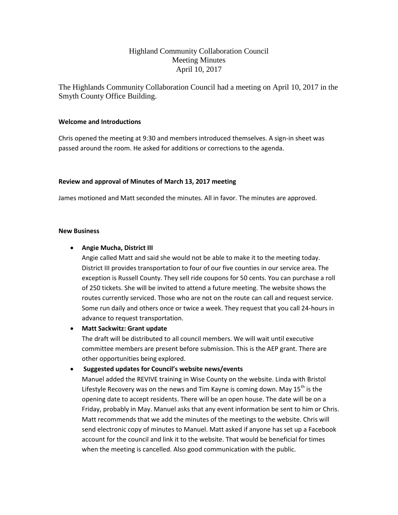# Highland Community Collaboration Council Meeting Minutes April 10, 2017

The Highlands Community Collaboration Council had a meeting on April 10, 2017 in the Smyth County Office Building.

### **Welcome and Introductions**

Chris opened the meeting at 9:30 and members introduced themselves. A sign-in sheet was passed around the room. He asked for additions or corrections to the agenda.

## **Review and approval of Minutes of March 13, 2017 meeting**

James motioned and Matt seconded the minutes. All in favor. The minutes are approved.

### **New Business**

## **Angie Mucha, District III**

Angie called Matt and said she would not be able to make it to the meeting today. District III provides transportation to four of our five counties in our service area. The exception is Russell County. They sell ride coupons for 50 cents. You can purchase a roll of 250 tickets. She will be invited to attend a future meeting. The website shows the routes currently serviced. Those who are not on the route can call and request service. Some run daily and others once or twice a week. They request that you call 24-hours in advance to request transportation.

### **Matt Sackwitz: Grant update**

The draft will be distributed to all council members. We will wait until executive committee members are present before submission. This is the AEP grant. There are other opportunities being explored.

# **Suggested updates for Council's website news/events**

Manuel added the REVIVE training in Wise County on the website. Linda with Bristol Lifestyle Recovery was on the news and Tim Kayne is coming down. May  $15<sup>th</sup>$  is the opening date to accept residents. There will be an open house. The date will be on a Friday, probably in May. Manuel asks that any event information be sent to him or Chris. Matt recommends that we add the minutes of the meetings to the website. Chris will send electronic copy of minutes to Manuel. Matt asked if anyone has set up a Facebook account for the council and link it to the website. That would be beneficial for times when the meeting is cancelled. Also good communication with the public.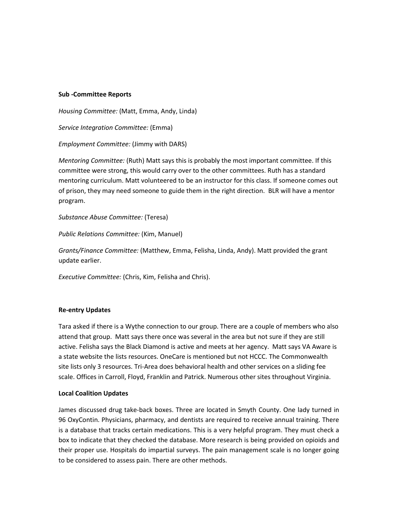#### **Sub -Committee Reports**

*Housing Committee:* (Matt, Emma, Andy, Linda)

*Service Integration Committee:* (Emma)

*Employment Committee:* (Jimmy with DARS)

*Mentoring Committee:* (Ruth) Matt says this is probably the most important committee. If this committee were strong, this would carry over to the other committees. Ruth has a standard mentoring curriculum. Matt volunteered to be an instructor for this class. If someone comes out of prison, they may need someone to guide them in the right direction. BLR will have a mentor program.

*Substance Abuse Committee:* (Teresa)

*Public Relations Committee:* (Kim, Manuel)

*Grants/Finance Committee:* (Matthew, Emma, Felisha, Linda, Andy). Matt provided the grant update earlier.

*Executive Committee:* (Chris, Kim, Felisha and Chris).

#### **Re-entry Updates**

Tara asked if there is a Wythe connection to our group. There are a couple of members who also attend that group. Matt says there once was several in the area but not sure if they are still active. Felisha says the Black Diamond is active and meets at her agency. Matt says VA Aware is a state website the lists resources. OneCare is mentioned but not HCCC. The Commonwealth site lists only 3 resources. Tri-Area does behavioral health and other services on a sliding fee scale. Offices in Carroll, Floyd, Franklin and Patrick. Numerous other sites throughout Virginia.

#### **Local Coalition Updates**

James discussed drug take-back boxes. Three are located in Smyth County. One lady turned in 96 OxyContin. Physicians, pharmacy, and dentists are required to receive annual training. There is a database that tracks certain medications. This is a very helpful program. They must check a box to indicate that they checked the database. More research is being provided on opioids and their proper use. Hospitals do impartial surveys. The pain management scale is no longer going to be considered to assess pain. There are other methods.